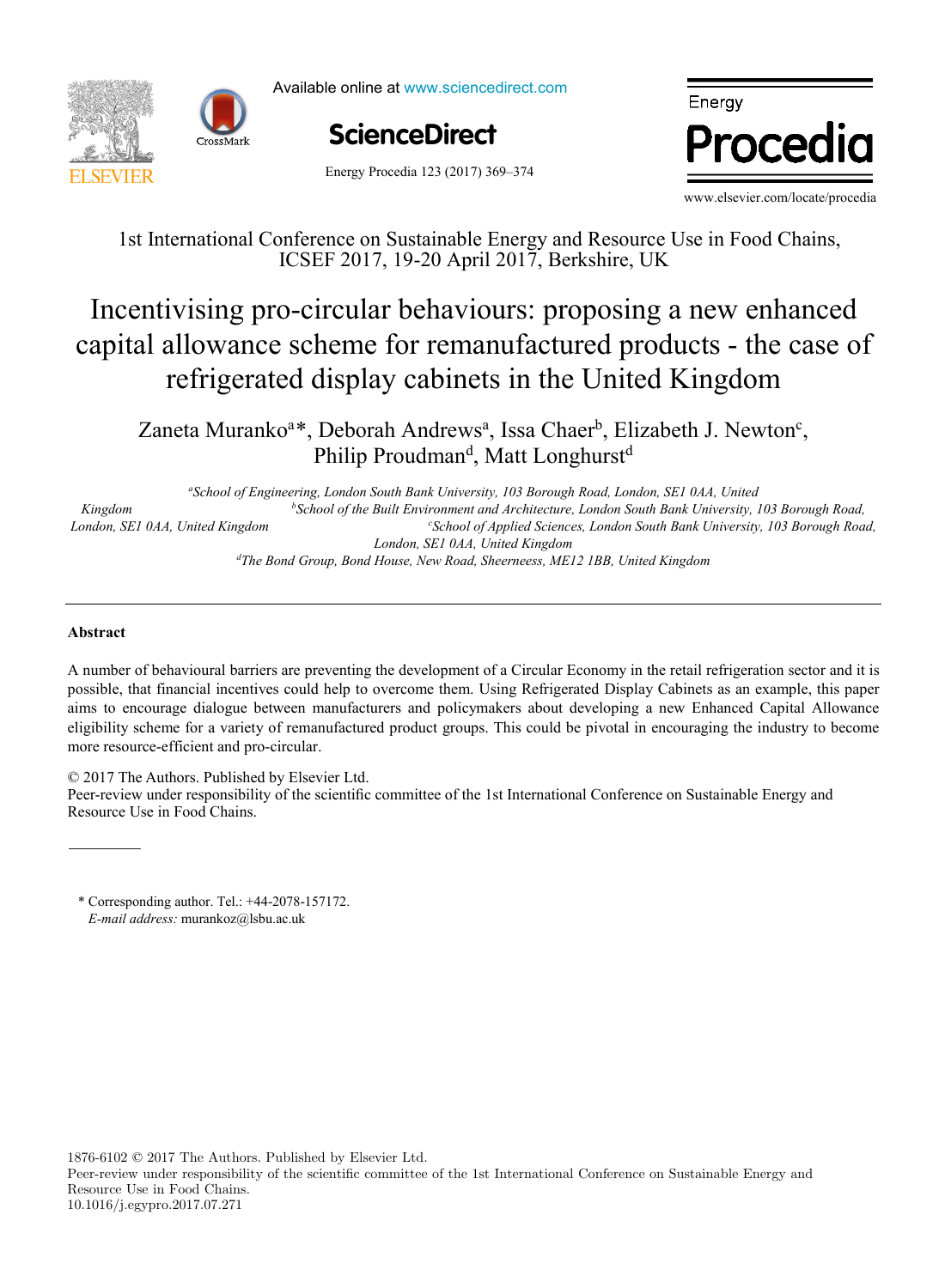



Available online at www.sciencedirect.com



Energy where  $\mathbf{P}$ 1st Inter[national](http://crossmark.crossref.org/dialog/?doi=10.1016/j.egypro.2017.07.271&domain=pdf) Conference on Sustainable Energy and Resource Use in Food Chains,

Energy Procedia 123 (2017) 369–374

www.elsevier.com/locate/procedia

1st International Conference on Sustainable Energy and Resource Use in Food Chains, ICSEF 2017, 19-20 April 2017, Berkshire, UK

# ivising pro-circular behaviours: proposing a new enl as anywhere seneme for remandatured products are easy temperature and pray eachners in the efficient king with capital allowance scheme for remanufactured products - the case of refrigerated display cabinets in the United Kingdom Incentivising pro-circular behaviours: proposing a new enhanced

 $\mu_{\text{b}}$ , Bebolah Amarews, Issa Chael, Enzabeli 3, Newton, Philip Proudman<sup>d</sup>, Matt Longhurst<sup>d</sup>  $\frac{1}{2}$ . Fourthermore,  $\frac{1}{2}$ ,  $\frac{1}{2}$ ,  $\frac{1}{2}$ ,  $\frac{1}{2}$ ,  $\frac{1}{2}$ ,  $\frac{1}{2}$ ,  $\frac{1}{2}$ ,  $\frac{1}{2}$ ,  $\frac{1}{2}$ ,  $\frac{1}{2}$ ,  $\frac{1}{2}$ ,  $\frac{1}{2}$ ,  $\frac{1}{2}$ ,  $\frac{1}{2}$ ,  $\frac{1}{2}$ ,  $\frac{1}{2}$ ,  $\frac{1}{2}$ ,  $\frac{1}{2}$ *Kingdom b School of the Built Environment and Architecture, London South Bank University, 103 Borough Road,*  Zaneta Muranko<sup>a\*</sup>, Deborah Andrews<sup>a</sup>, Issa Chaer<sup>b</sup>, Elizabeth J. Newton<sup>c</sup>, Philip Proudman<sup>d</sup>, Matt Longhurst<sup>d</sup>

<sup>a</sup>School of Engineering, London South Bank University, 103 Borough Road, London, SE1 0AA, United *Veolia Recherche & Innovation, 291 Avenue Dreyfous Daniel, 78520 Limay, France School of the Built Environment and Architecture, London South Bank University, 103 Borough Road, condon, SE1 0AA, United Kingdom condon by the Buttle Envirt*red Condon, SE1 0AA, United Kingdom *Département Systèmes Énergétiques et Environnement - IMT Atlantique, 4 rue Alfred Kastler, 44300 Nantes, France School of Applied Sciences, London South Bank University, 103 Borough Road, Kingdom b London, SE1 0AA, United Kingdom d The Bond Group, Bond House, New Road, Sheerneess, ME12 1BB, United Kingdom*

possible, that financial incentives could help to overcome them. Using Refrigerated Display Cabinets as an example, this paper

#### $\Delta$  is the commonly addressed in the literature as one of the most effective solutions for decreasing the most effective solutions for the most effective solutions for decreasing the most effective solutions for decreasi  $\Lambda$  between manufacturers and policymakers and policymakers about developing a new Enhanced Capital Allowance . This can variety of remain  $\mathcal{L}_{\text{max}}$ **Abstract**

A number of behavioural barriers are preventing the development of a Circular Economy in the retail refrigeration sector and it is possible, that financial incentives could help to overcome them. Using Refrigerated Display Cabinets as an example, this paper aims to encourage dialogue between manufacturers and policymakers about developing a new Enhanced Capital Allowance eligibility scheme for a variety of remanufactured product groups. This could be pivotal in encouraging the industry to become building that vary in both construction per construction period and the second construction medium, and three district in Food Chains.

© 2017 The Authors. Published by Elsevier Ltd.<br>
—

Peer-review under responsibility of the scientific committee of the 1st International Conference on Sustainable Energy and  $t_{\text{total}}$  demand demand was lower than 20% for all weather scenarios considered  $\epsilon$ Resource Use in Food Chains. Person to under responsibility of the scientific committee of the 1st International Conference on Sustainable Energy and Resource Use in Food Chains.

\* Corresponding author. Tel.: +44-2078-157172. coupled scenarios). The values suggested could be used to modify the function parameters for the scenarios considered, and *E-mail address:* murankoz@lsbu.ac.uk

improve the accuracy of heat demand estimations.

1876-6102 © 2017 The Authors. Published by Elsevier Ltd.

Peer-review under responsibility of the scientific committee of the 1st International Conference on Sustainable Energy and Resource Use in Food Chains. 10.1016/j.egypro.2017.07.271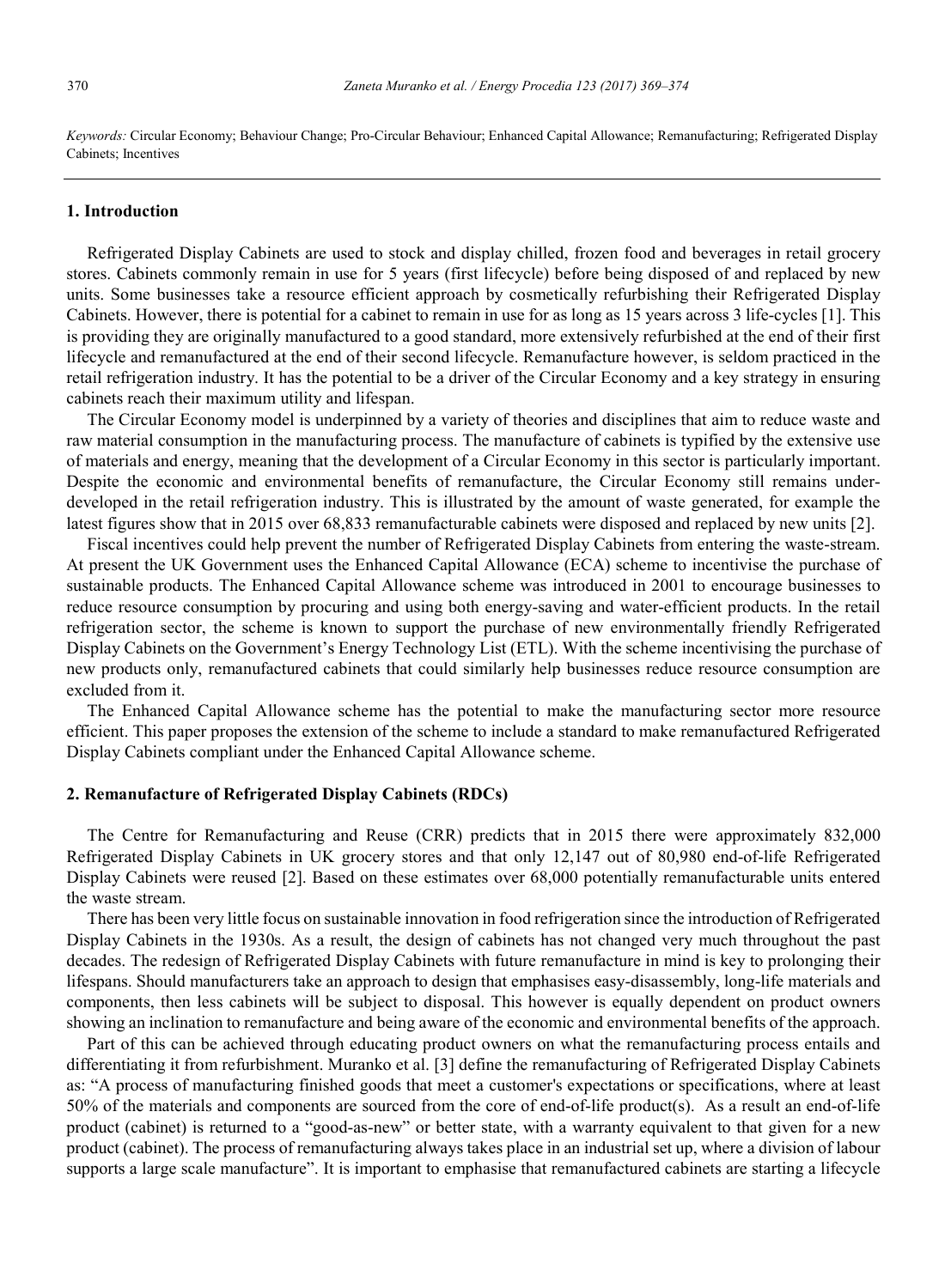*Keywords:* Circular Economy; Behaviour Change; Pro-Circular Behaviour; Enhanced Capital Allowance; Remanufacturing; Refrigerated Display Cabinets; Incentives

#### **1. Introduction**

Refrigerated Display Cabinets are used to stock and display chilled, frozen food and beverages in retail grocery stores. Cabinets commonly remain in use for 5 years (first lifecycle) before being disposed of and replaced by new units. Some businesses take a resource efficient approach by cosmetically refurbishing their Refrigerated Display Cabinets. However, there is potential for a cabinet to remain in use for as long as 15 years across 3 life-cycles [1]. This is providing they are originally manufactured to a good standard, more extensively refurbished at the end of their first lifecycle and remanufactured at the end of their second lifecycle. Remanufacture however, is seldom practiced in the retail refrigeration industry. It has the potential to be a driver of the Circular Economy and a key strategy in ensuring cabinets reach their maximum utility and lifespan.

The Circular Economy model is underpinned by a variety of theories and disciplines that aim to reduce waste and raw material consumption in the manufacturing process. The manufacture of cabinets is typified by the extensive use of materials and energy, meaning that the development of a Circular Economy in this sector is particularly important. Despite the economic and environmental benefits of remanufacture, the Circular Economy still remains underdeveloped in the retail refrigeration industry. This is illustrated by the amount of waste generated, for example the latest figures show that in 2015 over 68,833 remanufacturable cabinets were disposed and replaced by new units [2].

Fiscal incentives could help prevent the number of Refrigerated Display Cabinets from entering the waste-stream. At present the UK Government uses the Enhanced Capital Allowance (ECA) scheme to incentivise the purchase of sustainable products. The Enhanced Capital Allowance scheme was introduced in 2001 to encourage businesses to reduce resource consumption by procuring and using both energy-saving and water-efficient products. In the retail refrigeration sector, the scheme is known to support the purchase of new environmentally friendly Refrigerated Display Cabinets on the Government's Energy Technology List (ETL). With the scheme incentivising the purchase of new products only, remanufactured cabinets that could similarly help businesses reduce resource consumption are excluded from it.

The Enhanced Capital Allowance scheme has the potential to make the manufacturing sector more resource efficient. This paper proposes the extension of the scheme to include a standard to make remanufactured Refrigerated Display Cabinets compliant under the Enhanced Capital Allowance scheme.

## **2. Remanufacture of Refrigerated Display Cabinets (RDCs)**

The Centre for Remanufacturing and Reuse (CRR) predicts that in 2015 there were approximately 832,000 Refrigerated Display Cabinets in UK grocery stores and that only 12,147 out of 80,980 end-of-life Refrigerated Display Cabinets were reused [2]. Based on these estimates over 68,000 potentially remanufacturable units entered the waste stream.

There has been very little focus on sustainable innovation in food refrigeration since the introduction of Refrigerated Display Cabinets in the 1930s. As a result, the design of cabinets has not changed very much throughout the past decades. The redesign of Refrigerated Display Cabinets with future remanufacture in mind is key to prolonging their lifespans. Should manufacturers take an approach to design that emphasises easy-disassembly, long-life materials and components, then less cabinets will be subject to disposal. This however is equally dependent on product owners showing an inclination to remanufacture and being aware of the economic and environmental benefits of the approach.

Part of this can be achieved through educating product owners on what the remanufacturing process entails and differentiating it from refurbishment. Muranko et al. [3] define the remanufacturing of Refrigerated Display Cabinets as: "A process of manufacturing finished goods that meet a customer's expectations or specifications, where at least 50% of the materials and components are sourced from the core of end-of-life product(s). As a result an end-of-life product (cabinet) is returned to a "good-as-new" or better state, with a warranty equivalent to that given for a new product (cabinet). The process of remanufacturing always takes place in an industrial set up, where a division of labour supports a large scale manufacture". It is important to emphasise that remanufactured cabinets are starting a lifecycle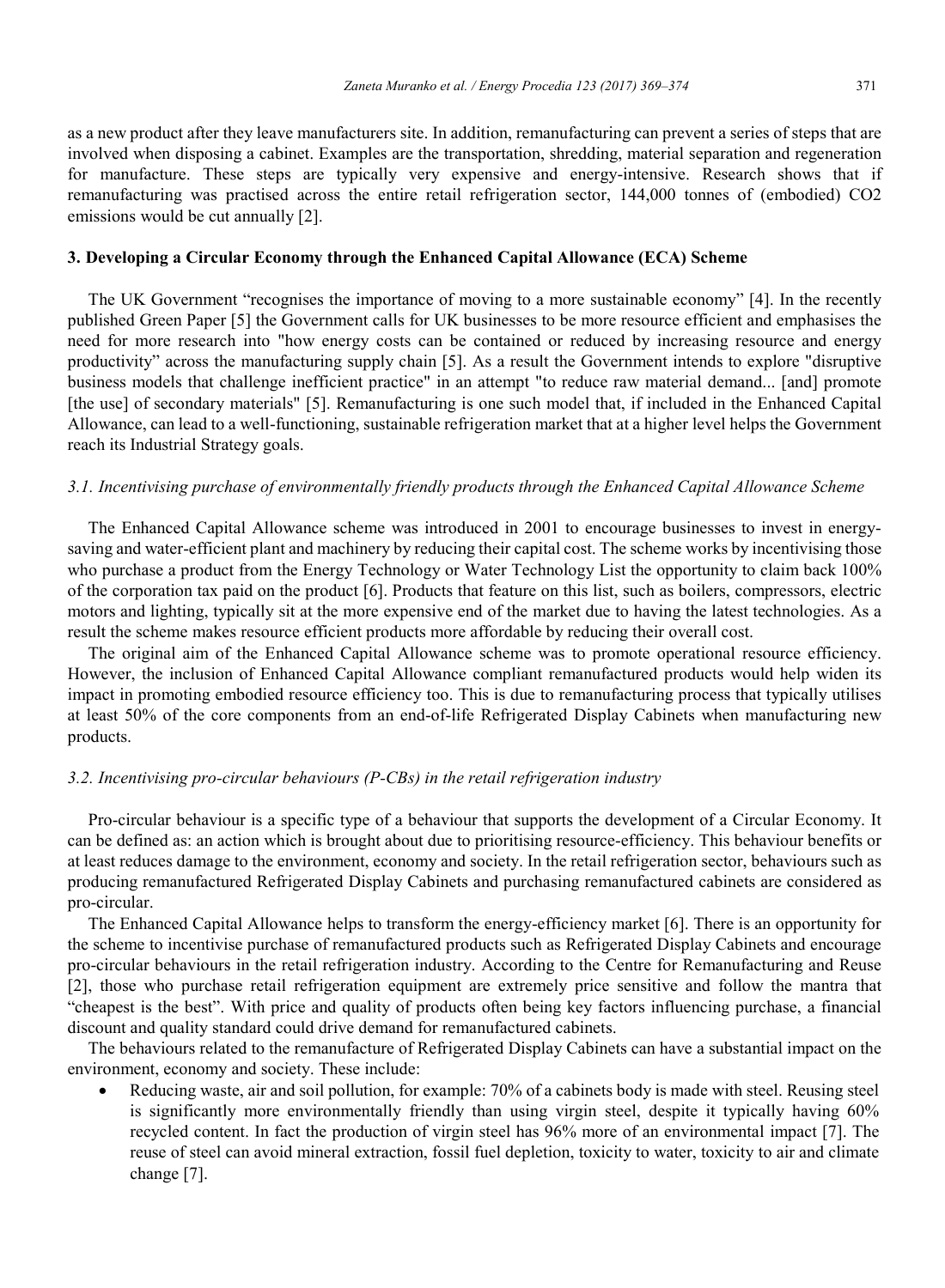as a new product after they leave manufacturers site. In addition, remanufacturing can prevent a series of steps that are involved when disposing a cabinet. Examples are the transportation, shredding, material separation and regeneration for manufacture. These steps are typically very expensive and energy-intensive. Research shows that if remanufacturing was practised across the entire retail refrigeration sector, 144,000 tonnes of (embodied) CO2 emissions would be cut annually [2].

## **3. Developing a Circular Economy through the Enhanced Capital Allowance (ECA) Scheme**

The UK Government "recognises the importance of moving to a more sustainable economy" [4]. In the recently published Green Paper [5] the Government calls for UK businesses to be more resource efficient and emphasises the need for more research into "how energy costs can be contained or reduced by increasing resource and energy productivity" across the manufacturing supply chain [5]. As a result the Government intends to explore "disruptive business models that challenge inefficient practice" in an attempt "to reduce raw material demand... [and] promote [the use] of secondary materials" [5]. Remanufacturing is one such model that, if included in the Enhanced Capital Allowance, can lead to a well-functioning, sustainable refrigeration market that at a higher level helps the Government reach its Industrial Strategy goals.

## *3.1. Incentivising purchase of environmentally friendly products through the Enhanced Capital Allowance Scheme*

The Enhanced Capital Allowance scheme was introduced in 2001 to encourage businesses to invest in energysaving and water-efficient plant and machinery by reducing their capital cost. The scheme works by incentivising those who purchase a product from the Energy Technology or Water Technology List the opportunity to claim back 100% of the corporation tax paid on the product [6]. Products that feature on this list, such as boilers, compressors, electric motors and lighting, typically sit at the more expensive end of the market due to having the latest technologies. As a result the scheme makes resource efficient products more affordable by reducing their overall cost.

The original aim of the Enhanced Capital Allowance scheme was to promote operational resource efficiency. However, the inclusion of Enhanced Capital Allowance compliant remanufactured products would help widen its impact in promoting embodied resource efficiency too. This is due to remanufacturing process that typically utilises at least 50% of the core components from an end-of-life Refrigerated Display Cabinets when manufacturing new products.

## *3.2. Incentivising pro-circular behaviours (P-CBs) in the retail refrigeration industry*

Pro-circular behaviour is a specific type of a behaviour that supports the development of a Circular Economy. It can be defined as: an action which is brought about due to prioritising resource-efficiency. This behaviour benefits or at least reduces damage to the environment, economy and society. In the retail refrigeration sector, behaviours such as producing remanufactured Refrigerated Display Cabinets and purchasing remanufactured cabinets are considered as pro-circular.

The Enhanced Capital Allowance helps to transform the energy-efficiency market [6]. There is an opportunity for the scheme to incentivise purchase of remanufactured products such as Refrigerated Display Cabinets and encourage pro-circular behaviours in the retail refrigeration industry. According to the Centre for Remanufacturing and Reuse [2], those who purchase retail refrigeration equipment are extremely price sensitive and follow the mantra that "cheapest is the best". With price and quality of products often being key factors influencing purchase, a financial discount and quality standard could drive demand for remanufactured cabinets.

The behaviours related to the remanufacture of Refrigerated Display Cabinets can have a substantial impact on the environment, economy and society. These include:

• Reducing waste, air and soil pollution, for example: 70% of a cabinets body is made with steel. Reusing steel is significantly more environmentally friendly than using virgin steel, despite it typically having 60% recycled content. In fact the production of virgin steel has 96% more of an environmental impact [7]. The reuse of steel can avoid mineral extraction, fossil fuel depletion, toxicity to water, toxicity to air and climate change [7].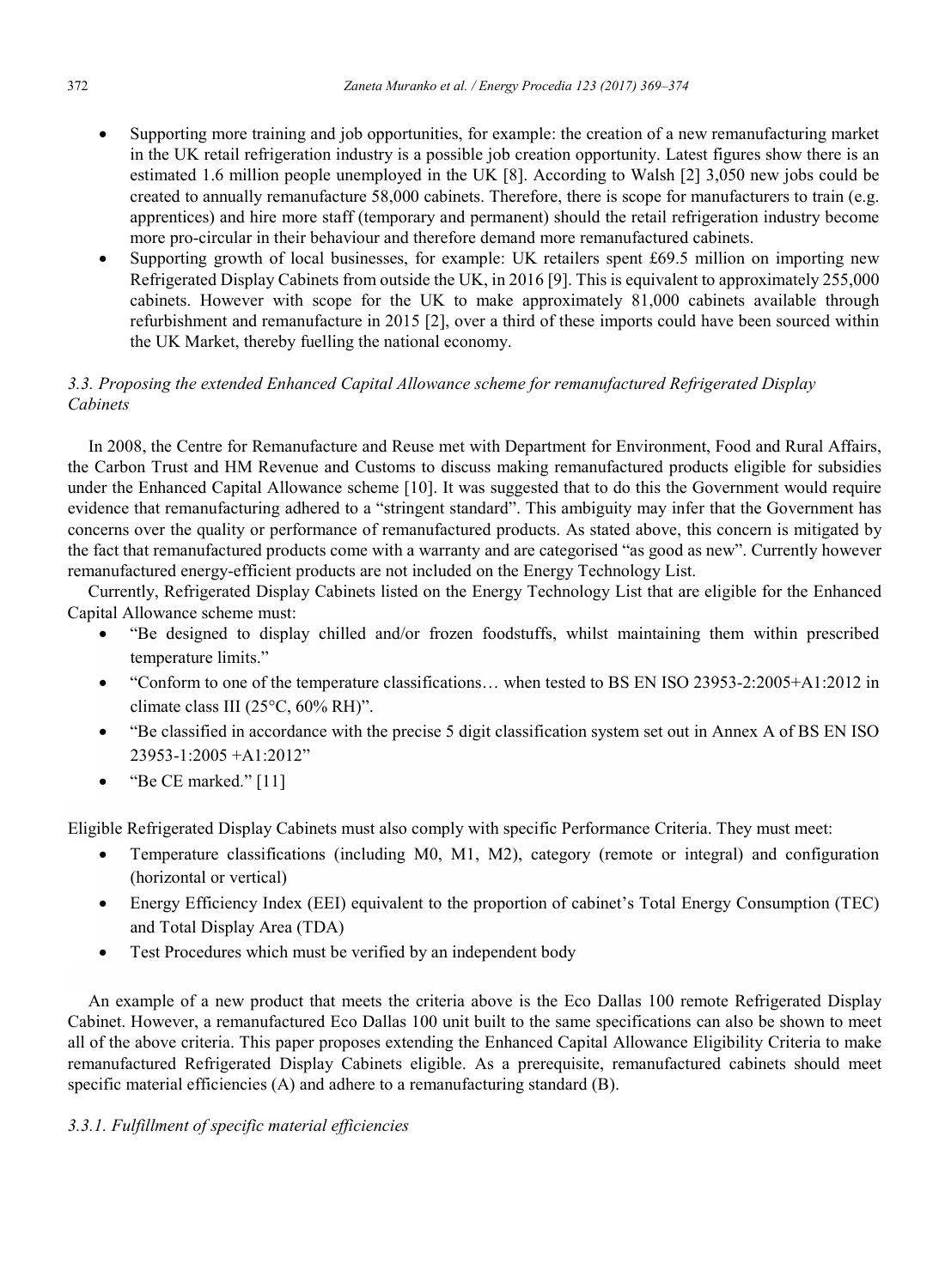- Supporting more training and job opportunities, for example: the creation of a new remanufacturing market in the UK retail refrigeration industry is a possible job creation opportunity. Latest figures show there is an estimated 1.6 million people unemployed in the UK [8]. According to Walsh [2] 3,050 new jobs could be created to annually remanufacture 58,000 cabinets. Therefore, there is scope for manufacturers to train (e.g. apprentices) and hire more staff (temporary and permanent) should the retail refrigeration industry become more pro-circular in their behaviour and therefore demand more remanufactured cabinets.
- Supporting growth of local businesses, for example: UK retailers spent £69.5 million on importing new Refrigerated Display Cabinets from outside the UK, in 2016 [9]. This is equivalent to approximately 255,000 cabinets. However with scope for the UK to make approximately 81,000 cabinets available through refurbishment and remanufacture in 2015 [2], over a third of these imports could have been sourced within the UK Market, thereby fuelling the national economy.

## *3.3. Proposing the extended Enhanced Capital Allowance scheme for remanufactured Refrigerated Display Cabinets*

In 2008, the Centre for Remanufacture and Reuse met with Department for Environment, Food and Rural Affairs, the Carbon Trust and HM Revenue and Customs to discuss making remanufactured products eligible for subsidies under the Enhanced Capital Allowance scheme [10]. It was suggested that to do this the Government would require evidence that remanufacturing adhered to a "stringent standard". This ambiguity may infer that the Government has concerns over the quality or performance of remanufactured products. As stated above, this concern is mitigated by the fact that remanufactured products come with a warranty and are categorised "as good as new". Currently however remanufactured energy-efficient products are not included on the Energy Technology List.

Currently, Refrigerated Display Cabinets listed on the Energy Technology List that are eligible for the Enhanced Capital Allowance scheme must:

- "Be designed to display chilled and/or frozen foodstuffs, whilst maintaining them within prescribed temperature limits."
- "Conform to one of the temperature classifications… when tested to BS EN ISO 23953-2:2005+A1:2012 in climate class III (25°C, 60% RH)".
- "Be classified in accordance with the precise 5 digit classification system set out in Annex A of BS EN ISO 23953-1:2005 +A1:2012"
- "Be CE marked." [11]

Eligible Refrigerated Display Cabinets must also comply with specific Performance Criteria. They must meet:

- Temperature classifications (including M0, M1, M2), category (remote or integral) and configuration (horizontal or vertical)
- Energy Efficiency Index (EEI) equivalent to the proportion of cabinet's Total Energy Consumption (TEC) and Total Display Area (TDA)
- Test Procedures which must be verified by an independent body

An example of a new product that meets the criteria above is the Eco Dallas 100 remote Refrigerated Display Cabinet. However, a remanufactured Eco Dallas 100 unit built to the same specifications can also be shown to meet all of the above criteria. This paper proposes extending the Enhanced Capital Allowance Eligibility Criteria to make remanufactured Refrigerated Display Cabinets eligible. As a prerequisite, remanufactured cabinets should meet specific material efficiencies (A) and adhere to a remanufacturing standard (B).

## *3.3.1. Fulfillment of specific material efficiencies*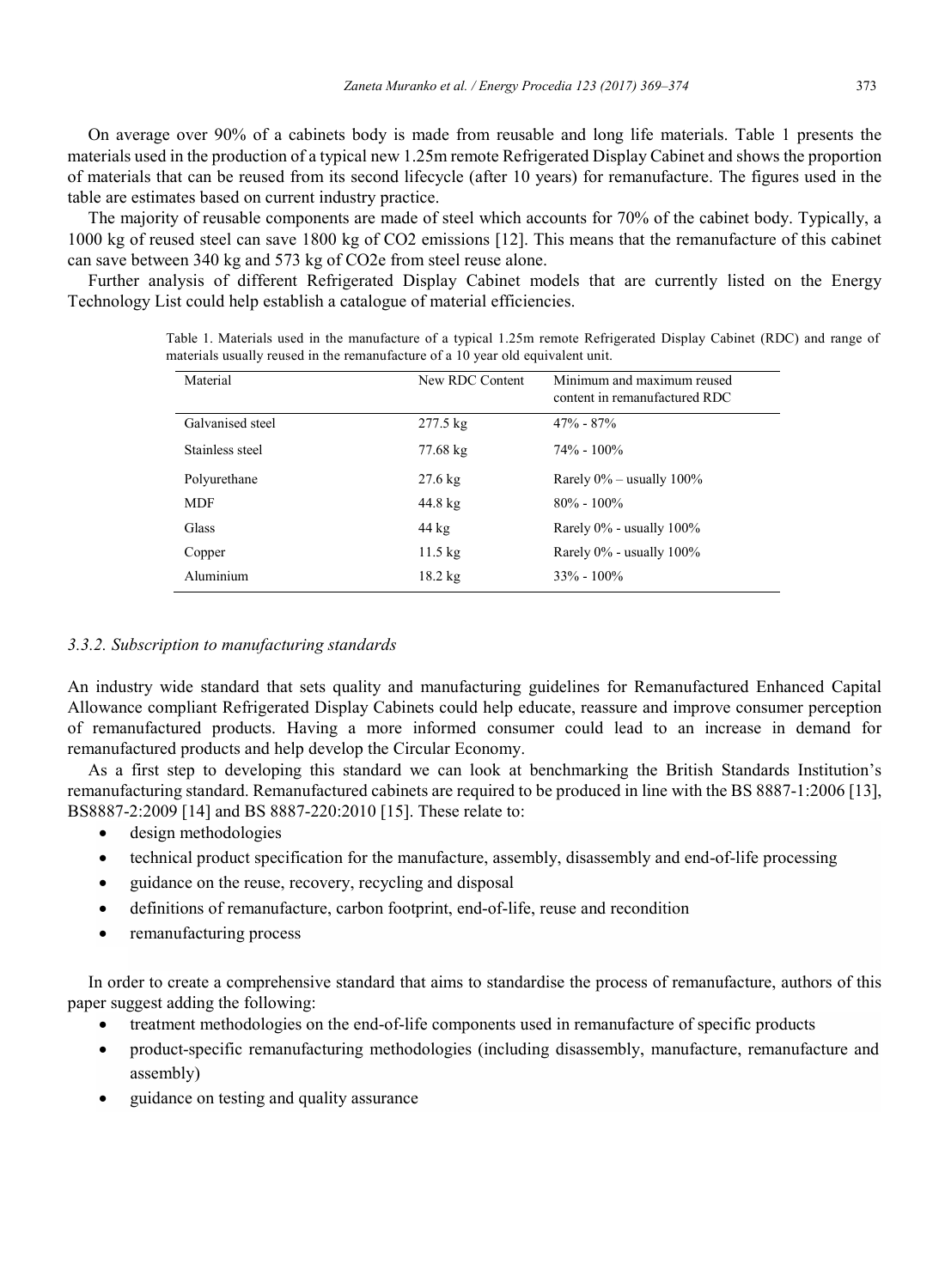On average over 90% of a cabinets body is made from reusable and long life materials. Table 1 presents the materials used in the production of a typical new 1.25m remote Refrigerated Display Cabinet and shows the proportion of materials that can be reused from its second lifecycle (after 10 years) for remanufacture. The figures used in the table are estimates based on current industry practice.

The majority of reusable components are made of steel which accounts for 70% of the cabinet body. Typically, a 1000 kg of reused steel can save 1800 kg of CO2 emissions [12]. This means that the remanufacture of this cabinet can save between 340 kg and 573 kg of CO2e from steel reuse alone.

Further analysis of different Refrigerated Display Cabinet models that are currently listed on the Energy Technology List could help establish a catalogue of material efficiencies.

| Material         | New RDC Content    | Minimum and maximum reused<br>content in remanufactured RDC |
|------------------|--------------------|-------------------------------------------------------------|
| Galvanised steel | $277.5 \text{ kg}$ | $47\% - 87\%$                                               |
| Stainless steel  | 77.68 kg           | $74\% - 100\%$                                              |
| Polyurethane     | $27.6 \text{ kg}$  | Rarely $0\%$ – usually $100\%$                              |
| <b>MDF</b>       | 44.8 kg            | $80\% - 100\%$                                              |
| Glass            | $44 \text{ kg}$    | Rarely $0\%$ - usually $100\%$                              |
| Copper           | $11.5 \text{ kg}$  | Rarely 0% - usually 100%                                    |
| Aluminium        | $18.2 \text{ kg}$  | $33\% - 100\%$                                              |

Table 1. Materials used in the manufacture of a typical 1.25m remote Refrigerated Display Cabinet (RDC) and range of materials usually reused in the remanufacture of a 10 year old equivalent unit.

## *3.3.2. Subscription to manufacturing standards*

An industry wide standard that sets quality and manufacturing guidelines for Remanufactured Enhanced Capital Allowance compliant Refrigerated Display Cabinets could help educate, reassure and improve consumer perception of remanufactured products. Having a more informed consumer could lead to an increase in demand for remanufactured products and help develop the Circular Economy.

As a first step to developing this standard we can look at benchmarking the British Standards Institution's remanufacturing standard. Remanufactured cabinets are required to be produced in line with the BS 8887-1:2006 [13], BS8887-2:2009 [14] and BS 8887-220:2010 [15]. These relate to:

- design methodologies
- technical product specification for the manufacture, assembly, disassembly and end-of-life processing
- guidance on the reuse, recovery, recycling and disposal
- definitions of remanufacture, carbon footprint, end-of-life, reuse and recondition
- remanufacturing process

In order to create a comprehensive standard that aims to standardise the process of remanufacture, authors of this paper suggest adding the following:

- treatment methodologies on the end-of-life components used in remanufacture of specific products
- product-specific remanufacturing methodologies (including disassembly, manufacture, remanufacture and assembly)
- guidance on testing and quality assurance